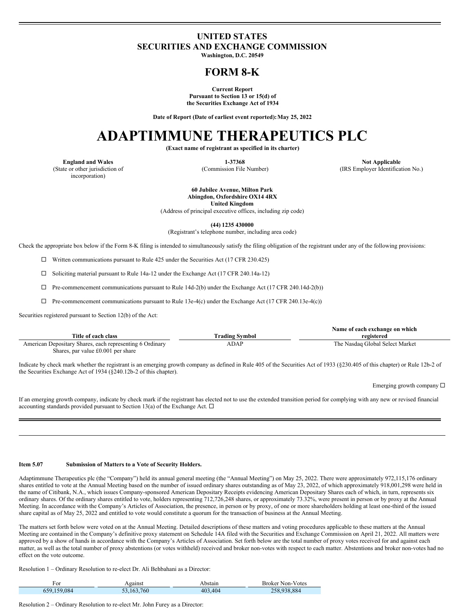### **UNITED STATES SECURITIES AND EXCHANGE COMMISSION**

**Washington, D.C. 20549**

## **FORM 8-K**

**Current Report**

**Pursuant to Section 13 or 15(d) of the Securities Exchange Act of 1934**

**Date of Report (Date of earliest event reported):May 25, 2022**

# **ADAPTIMMUNE THERAPEUTICS PLC**

**(Exact name of registrant as specified in its charter)**

(State or other jurisdiction of incorporation)

**England and Wales 1-37368 Not Applicable** (Commission File Number) (IRS Employer Identification No.)

> **60 Jubilee Avenue, Milton Park Abingdon, Oxfordshire OX14 4RX United Kingdom**

(Address of principal executive offices, including zip code)

**(44) 1235 430000**

(Registrant's telephone number, including area code)

Check the appropriate box below if the Form 8-K filing is intended to simultaneously satisfy the filing obligation of the registrant under any of the following provisions:

 $\Box$  Written communications pursuant to Rule 425 under the Securities Act (17 CFR 230.425)

 $\Box$  Soliciting material pursuant to Rule 14a-12 under the Exchange Act (17 CFR 240.14a-12)

 $\Box$  Pre-commencement communications pursuant to Rule 14d-2(b) under the Exchange Act (17 CFR 240.14d-2(b))

 $\Box$  Pre-commencement communications pursuant to Rule 13e-4(c) under the Exchange Act (17 CFR 240.13e-4(c))

Securities registered pursuant to Section 12(b) of the Act:

|                                                          |                | Name of each exchange on which  |
|----------------------------------------------------------|----------------|---------------------------------|
| Title of each class                                      | Trading Svmbol | registered                      |
| American Depositary Shares, each representing 6 Ordinary | <b>ADAP</b>    | The Nasdaq Global Select Market |
| Shares, par value $£0.001$ per share                     |                |                                 |

Indicate by check mark whether the registrant is an emerging growth company as defined in Rule 405 of the Securities Act of 1933 (§230.405 of this chapter) or Rule 12b-2 of the Securities Exchange Act of 1934 (§240.12b-2 of this chapter).

Emerging growth company  $\Box$ 

If an emerging growth company, indicate by check mark if the registrant has elected not to use the extended transition period for complying with any new or revised financial accounting standards provided pursuant to Section 13(a) of the Exchange Act.  $\Box$ 

#### **Item 5.07 Submission of Matters to a Vote of Security Holders.**

Adaptimmune Therapeutics plc (the "Company") held its annual general meeting (the "Annual Meeting") on May 25, 2022. There were approximately 972,115,176 ordinary shares entitled to vote at the Annual Meeting based on the number of issued ordinary shares outstanding as of May 23, 2022, of which approximately 918,001,298 were held in the name of Citibank, N.A., which issues Company-sponsored American Depositary Receipts evidencing American Depositary Shares each of which, in turn, represents six ordinary shares. Of the ordinary shares entitled to vote, holders representing 712,726,248 shares, or approximately 73.32%, were present in person or by proxy at the Annual Meeting. In accordance with the Company's Articles of Association, the presence, in person or by proxy, of one or more shareholders holding at least one-third of the issued share capital as of May 25, 2022 and entitled to vote would constitute a quorum for the transaction of business at the Annual Meeting.

The matters set forth below were voted on at the Annual Meeting. Detailed descriptions of these matters and voting procedures applicable to these matters at the Annual Meeting are contained in the Company's definitive proxy statement on Schedule 14A filed with the Securities and Exchange Commission on April 21, 2022. All matters were approved by a show of hands in accordance with the Company's Articles of Association. Set forth below are the total number of proxy votes received for and against each matter, as well as the total number of proxy abstentions (or votes withheld) received and broker non-votes with respect to each matter. Abstentions and broker non-votes had no effect on the vote outcome.

Resolution 1 – Ordinary Resolution to re-elect Dr. Ali Behbahani as a Director:

| For         | Against    | Abstain | <b>Broker Non-Votes</b> |
|-------------|------------|---------|-------------------------|
| 659,159,084 | 53.163.760 | 403,404 | 258,938,884             |

Resolution 2 – Ordinary Resolution to re-elect Mr. John Furey as a Director: